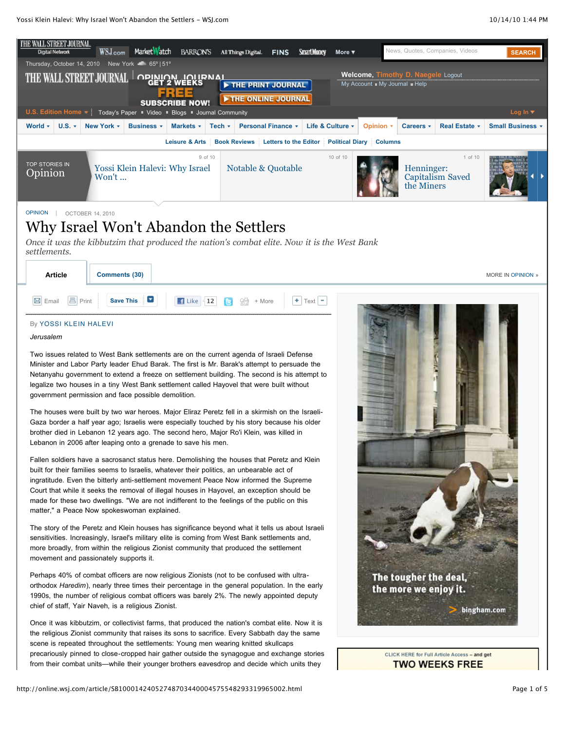

Why Israel Won't Abandon the Settlers

*Once it was the kibbutzim that produced the nation's combat elite. Now it is the West Bank settlements.*

| Article                                                  | Comments (30) |                                                              | MORE IN OPINION » |
|----------------------------------------------------------|---------------|--------------------------------------------------------------|-------------------|
| <b>⊠</b> Email<br>Print<br>▭<br><b>*****************</b> | Save This     | <b>E</b> Like<br>12<br>÷.<br>+ More<br>W<br>Гехt<br>. .<br>_ |                   |

#### By [YOSSI KLEIN HALEVI](http://online.wsj.com/search/term.html?KEYWORDS=YOSSI+KLEIN+HALEVI&bylinesearch=true)

#### *Jerusalem*

Two issues related to West Bank settlements are on the current agenda of Israeli Defense Minister and Labor Party leader Ehud Barak. The first is Mr. Barak's attempt to persuade the Netanyahu government to extend a freeze on settlement building. The second is his attempt to legalize two houses in a tiny West Bank settlement called Hayovel that were built without government permission and face possible demolition.

The houses were built by two war heroes. Major Eliraz Peretz fell in a skirmish on the Israeli-Gaza border a half year ago; Israelis were especially touched by his story because his older brother died in Lebanon 12 years ago. The second hero, Major Ro'i Klein, was killed in Lebanon in 2006 after leaping onto a grenade to save his men.

Fallen soldiers have a sacrosanct status here. Demolishing the houses that Peretz and Klein built for their families seems to Israelis, whatever their politics, an unbearable act of ingratitude. Even the bitterly anti-settlement movement Peace Now informed the Supreme Court that while it seeks the removal of illegal houses in Hayovel, an exception should be made for these two dwellings. "We are not indifferent to the feelings of the public on this matter," a Peace Now spokeswoman explained.

The story of the Peretz and Klein houses has significance beyond what it tells us about Israeli sensitivities. Increasingly, Israel's military elite is coming from West Bank settlements and, more broadly, from within the religious Zionist community that produced the settlement movement and passionately supports it.

Perhaps 40% of combat officers are now religious Zionists (not to be confused with ultraorthodox *Haredim*), nearly three times their percentage in the general population. In the early 1990s, the number of religious combat officers was barely 2%. The newly appointed deputy chief of staff, Yair Naveh, is a religious Zionist.

Once it was kibbutzim, or collectivist farms, that produced the nation's combat elite. Now it is the religious Zionist community that raises its sons to sacrifice. Every Sabbath day the same scene is repeated throughout the settlements: Young men wearing knitted skullcaps precariously pinned to close-cropped hair gather outside the synagogue and exchange stories from their combat units—while their younger brothers eavesdrop and decide which units they



# **TWO WEEKS FREE**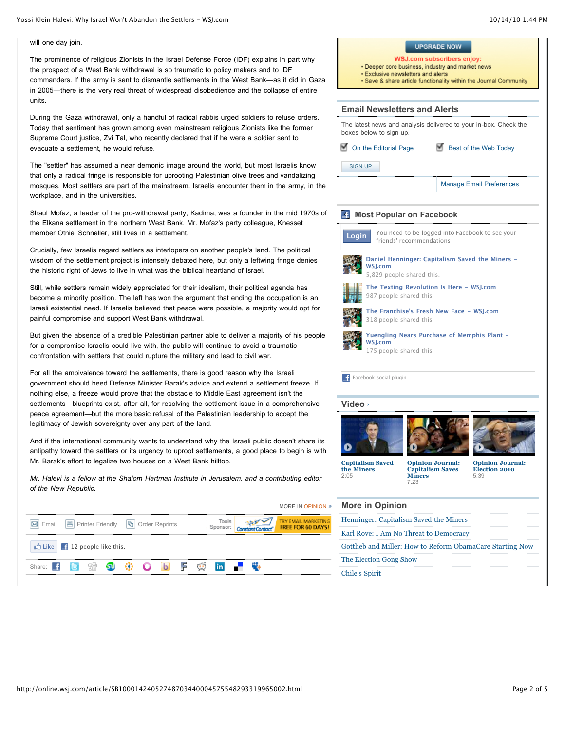will one day join.

The prominence of religious Zionists in the Israel Defense Force (IDF) explains in part why the prospect of a West Bank withdrawal is so traumatic to policy makers and to IDF commanders. If the army is sent to dismantle settlements in the West Bank—as it did in Gaza in 2005—there is the very real threat of widespread disobedience and the collapse of entire units.

During the Gaza withdrawal, only a handful of radical rabbis urged soldiers to refuse orders. Today that sentiment has grown among even mainstream religious Zionists like the former Supreme Court justice, Zvi Tal, who recently declared that if he were a soldier sent to evacuate a settlement, he would refuse.

The "settler" has assumed a near demonic image around the world, but most Israelis know that only a radical fringe is responsible for uprooting Palestinian olive trees and vandalizing mosques. Most settlers are part of the mainstream. Israelis encounter them in the army, in the workplace, and in the universities.

Shaul Mofaz, a leader of the pro-withdrawal party, Kadima, was a founder in the mid 1970s of the Elkana settlement in the northern West Bank. Mr. Mofaz's party colleague, Knesset member Otniel Schneller, still lives in a settlement.

Crucially, few Israelis regard settlers as interlopers on another people's land. The political wisdom of the settlement project is intensely debated here, but only a leftwing fringe denies the historic right of Jews to live in what was the biblical heartland of Israel.

Still, while settlers remain widely appreciated for their idealism, their political agenda has become a minority position. The left has won the argument that ending the occupation is an Israeli existential need. If Israelis believed that peace were possible, a majority would opt for painful compromise and support West Bank withdrawal.

But given the absence of a credible Palestinian partner able to deliver a majority of his people for a compromise Israelis could live with, the public will continue to avoid a traumatic confrontation with settlers that could rupture the military and lead to civil war.

For all the ambivalence toward the settlements, there is good reason why the Israeli government should heed Defense Minister Barak's advice and extend a settlement freeze. If nothing else, a freeze would prove that the obstacle to Middle East agreement isn't the settlements—blueprints exist, after all, for resolving the settlement issue in a comprehensive peace agreement—but the more basic refusal of the Palestinian leadership to accept the legitimacy of Jewish sovereignty over any part of the land.

And if the international community wants to understand why the Israeli public doesn't share its antipathy toward the settlers or its urgency to uproot settlements, a good place to begin is with Mr. Barak's effort to legalize two houses on a West Bank hilltop.

*Mr. Halevi is a fellow at the Shalom Hartman Institute in Jerusalem, and a contributing editor of the New Republic.*

|                                               |  |  |                             |  | <b>MORE IN OPINION »</b> |  |
|-----------------------------------------------|--|--|-----------------------------|--|--------------------------|--|
| Email   图 Printer Friendly   h Order Reprints |  |  |                             |  | <b>FREE FOR 60 DAYS!</b> |  |
| Like   $\vert$ 12 people like this.           |  |  |                             |  |                          |  |
| Share: <b>+      </b>                         |  |  | E<br>$\left( \cdot \right)$ |  |                          |  |
|                                               |  |  |                             |  |                          |  |

|                                               | <b>UPGRADE NOW</b><br><b>WSJ.com subscribers enjoy:</b><br>• Deeper core business, industry and market news<br>• Exclusive newsletters and alerts<br>· Save & share article functionality within the Journal Community |                                                         |  |  |  |
|-----------------------------------------------|------------------------------------------------------------------------------------------------------------------------------------------------------------------------------------------------------------------------|---------------------------------------------------------|--|--|--|
| <b>Email Newsletters and Alerts</b>           |                                                                                                                                                                                                                        |                                                         |  |  |  |
| boxes below to sign up.                       | The latest news and analysis delivered to your in-box. Check the                                                                                                                                                       |                                                         |  |  |  |
| <b>M</b> On the Editorial Page                |                                                                                                                                                                                                                        | <b>B</b> Best of the Web Today                          |  |  |  |
| <b>SIGN UP</b>                                |                                                                                                                                                                                                                        |                                                         |  |  |  |
|                                               |                                                                                                                                                                                                                        | <b>Manage Email Preferences</b>                         |  |  |  |
| Most Popular on Facebook                      |                                                                                                                                                                                                                        |                                                         |  |  |  |
| Login                                         | You need to be logged into Facebook to see your<br>friends' recommendations                                                                                                                                            |                                                         |  |  |  |
| <b>WSI.com</b>                                | Daniel Henninger: Capitalism Saved the Miners -<br>5,829 people shared this.                                                                                                                                           |                                                         |  |  |  |
|                                               | The Texting Revolution Is Here - WSJ.com<br>987 people shared this.                                                                                                                                                    |                                                         |  |  |  |
| 318 people shared this.                       | The Franchise's Fresh New Face - WSJ.com                                                                                                                                                                               |                                                         |  |  |  |
| WSJ.com<br>175 people shared this.            | Yuengling Nears Purchase of Memphis Plant -                                                                                                                                                                            |                                                         |  |  |  |
| <b>F:</b> Facebook social plugin              |                                                                                                                                                                                                                        |                                                         |  |  |  |
| Video⇒                                        |                                                                                                                                                                                                                        |                                                         |  |  |  |
|                                               |                                                                                                                                                                                                                        |                                                         |  |  |  |
| <b>Capitalism Saved</b><br>the Miners<br>2:05 | <b>Opinion Journal:</b><br><b>Capitalism Saves</b><br><b>Miners</b><br>7:23                                                                                                                                            | <b>Opinion Journal:</b><br><b>Election 2010</b><br>5:39 |  |  |  |
| <b>More in Opinion</b>                        |                                                                                                                                                                                                                        |                                                         |  |  |  |
|                                               | Henninger: Capitalism Saved the Miners                                                                                                                                                                                 |                                                         |  |  |  |
|                                               | Karl Rove: I Am No Threat to Democracy                                                                                                                                                                                 |                                                         |  |  |  |
|                                               | Gottlieb and Miller: How to Reform ObamaCare Starting Now                                                                                                                                                              |                                                         |  |  |  |
| The Election Gong Show                        |                                                                                                                                                                                                                        |                                                         |  |  |  |

[Chile's Spirit](http://online.wsj.com/article/SB10001424052748703673604575550212143815030.html?mod=WSJ_article_MoreIn_Opinion)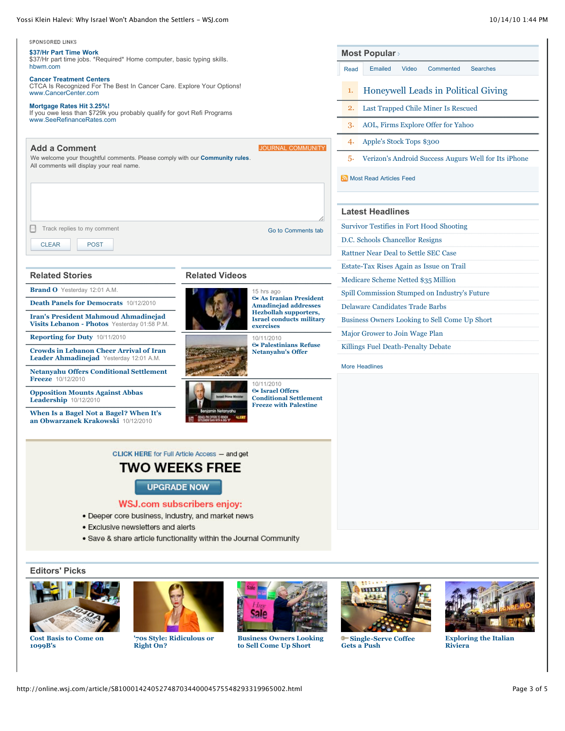#### Yossi Klein Halevi: Why Israel Won't Abandon the Settlers - WSJ.com

| 10/14/10 1:44 PI |
|------------------|
|------------------|



**CLICK HERE for Full Article Access - and get** 

# **TWO WEEKS FREE**

**UPGRADE NOW** 

## **WSJ.com subscribers enjoy:**

- · Deeper core business, industry, and market news
- Exclusive newsletters and alerts
- . Save & share article functionality within the Journal Community

#### **Editors' Picks**



**[Cost Basis to Come on](http://online.wsj.com/article/SB10001424052748704763904575550461405074090.html?mod=WSJ_hp_editorsPicks_1) 1099B's**



**['70s Style: Ridiculous or](http://online.wsj.com/article/SB10001424052748703440004575548584041838558.html?mod=WSJ_hp_editorsPicks_2) Right On?**



**[Business Owners Looking](http://online.wsj.com/article/SB10001424052748703440004575548393965927782.html?mod=WSJ_hp_editorsPicks_3) to Sell Come Up Short**



ö **[Single-Serve Coffee](http://online.wsj.com/article/SB10001424052748703673604575550191974954922.html?mod=WSJ_hp_editorsPicks_4) Gets a Push**



**[Exploring the Italian](http://online.wsj.com/article/SB10001424052748703673604575550213791856860.html?mod=WSJ_hp_editorsPicks_5) Riviera**